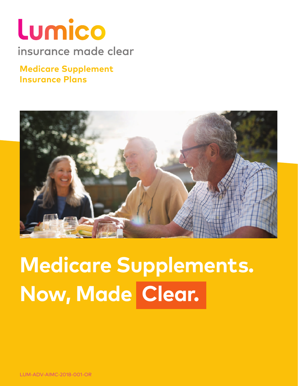# Lumico insurance made clear

### **Medicare Supplement Insurance Plans**



# **Medicare Supplements. Now, Made Clear.**

LUM-ADV-AIMC-2018-001-OR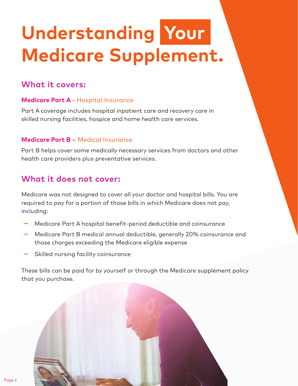# **Understanding Your Medicare Supplement.**

#### **What it covers:**

#### **Medicare Part A -** Hospital Insurance

Part A coverage includes hospital inpatient care and recovery care in skilled nursing facilities, hospice and home health care services.

#### **Medicare Part B –** Medical Insurance

Part B helps cover some medically necessary services from doctors and other health care providers plus preventative services.

#### **What it does not cover:**

Medicare was not designed to cover all your doctor and hospital bills. You are required to pay for a portion of those bills in which Medicare does not pay, including:

- **—** Medicare Part A hospital benefit-period deductible and coinsurance
- **—** Medicare Part B medical annual deductible, generally 20% coinsurance and those charges exceeding the Medicare eligible expense
- **—** Skilled nursing facility coinsurance

These bills can be paid for by yourself or through the Medicare supplement policy that you purchase.

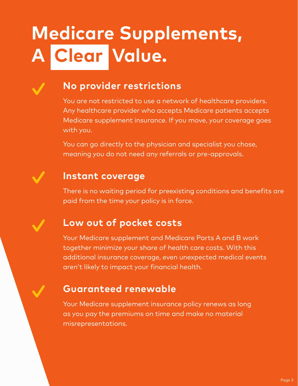# **Medicare Supplements, A Clear Value.**

## **No provider restrictions**

You are not restricted to use a network of healthcare providers. Any healthcare provider who accepts Medicare patients accepts Medicare supplement insurance. If you move, your coverage goes with you.

You can go directly to the physician and specialist you chose, meaning you do not need any referrals or pre-approvals.

## **Instant coverage**

There is no waiting period for preexisting conditions and benefits are paid from the time your policy is in force.

### **Low out of pocket costs**

Your Medicare supplement and Medicare Parts A and B work together minimize your share of health care costs. With this additional insurance coverage, even unexpected medical events aren't likely to impact your financial health.

### **Guaranteed renewable**

Your Medicare supplement insurance policy renews as long as you pay the premiums on time and make no material misrepresentations.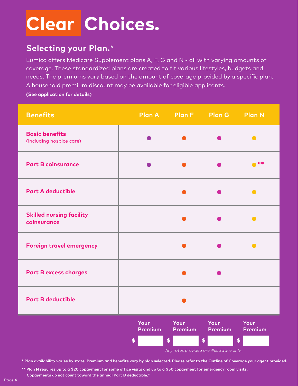# **Clear Choices.**

#### **Selecting your Plan.**\*

Lumico offers Medicare Supplement plans A, F, G and N - all with varying amounts of coverage. These standardized plans are created to fit various lifestyles, budgets and needs. The premiums vary based on the amount of coverage provided by a specific plan. A household premium discount may be available for eligible applicants.

**(See application for details)**

| <b>Benefits</b>                                   |      |      | Plan A Plan F Plan G | <b>Plan N</b> |
|---------------------------------------------------|------|------|----------------------|---------------|
| <b>Basic benefits</b><br>(including hospice care) |      |      |                      | $\bullet$     |
| <b>Part B coinsurance</b>                         |      |      |                      | $***$         |
| <b>Part A deductible</b>                          |      |      |                      |               |
| <b>Skilled nursing facility</b><br>coinsurance    |      |      |                      |               |
| <b>Foreign travel emergency</b>                   |      |      |                      |               |
| <b>Part B excess charges</b>                      |      |      |                      |               |
| <b>Part B deductible</b>                          |      |      |                      |               |
|                                                   | Your | Your | Your                 | Your          |



**\* Plan availability varies by state. Premium and benefits vary by plan selected. Please refer to the Outline of Coverage your agent provided.**

**\*\* Plan N requires up to a \$20 copayment for some office visits and up to a \$50 copayment for emergency room visits. Copayments do not count toward the annual Part B deductible."**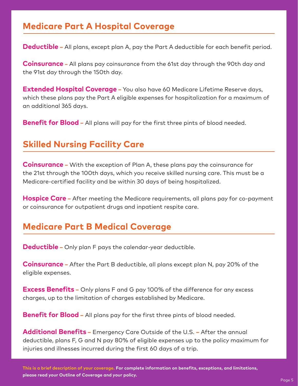#### **Medicare Part A Hospital Coverage**

**Deductible –** All plans, except plan A, pay the Part A deductible for each benefit period.

**Coinsurance –** All plans pay coinsurance from the 61st day through the 90th day and the 91st day through the 150th day.

**Extended Hospital Coverage** – You also have 60 Medicare Lifetime Reserve days, which these plans pay the Part A eligible expenses for hospitalization for a maximum of an additional 365 days.

**Benefit for Blood** – All plans will pay for the first three pints of blood needed.

#### **Skilled Nursing Facility Care**

**Coinsurance –** With the exception of Plan A, these plans pay the coinsurance for the 21st through the 100th days, which you receive skilled nursing care. This must be a Medicare-certified facility and be within 30 days of being hospitalized.

**Hospice Care –** After meeting the Medicare requirements, all plans pay for co-payment or coinsurance for outpatient drugs and inpatient respite care.

#### **Medicare Part B Medical Coverage**

**Deductible –** Only plan F pays the calendar-year deductible.

**Coinsurance –** After the Part B deductible, all plans except plan N, pay 20% of the eligible expenses.

**Excess Benefits –** Only plans F and G pay 100% of the difference for any excess charges, up to the limitation of charges established by Medicare.

**Benefit for Blood** – All plans pay for the first three pints of blood needed.

**Additional Benefits –** Emergency Care Outside of the U.S. **–** After the annual deductible, plans F, G and N pay 80% of eligible expenses up to the policy maximum for injuries and illnesses incurred during the first 60 days of a trip.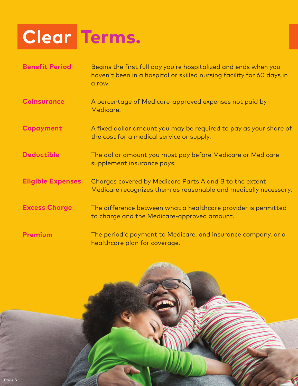# **Clear Terms.**

| <b>Benefit Period</b>    | Begins the first full day you're hospitalized and ends when you<br>haven't been in a hospital or skilled nursing facility for 60 days in<br>a row. |
|--------------------------|----------------------------------------------------------------------------------------------------------------------------------------------------|
| <b>Coinsurance</b>       | A percentage of Medicare-approved expenses not paid by<br>Medicare.                                                                                |
| Copayment                | A fixed dollar amount you may be required to pay as your share of<br>the cost for a medical service or supply.                                     |
| <b>Deductible</b>        | The dollar amount you must pay before Medicare or Medicare<br>supplement insurance pays.                                                           |
| <b>Eligible Expenses</b> | Charges covered by Medicare Parts A and B to the extent<br>Medicare recognizes them as reasonable and medically necessary.                         |
| <b>Excess Charge</b>     | The difference between what a healthcare provider is permitted<br>to charge and the Medicare-approved amount.                                      |
| <b>Premium</b>           | The periodic payment to Medicare, and insurance company, or a<br>healthcare plan for coverage.                                                     |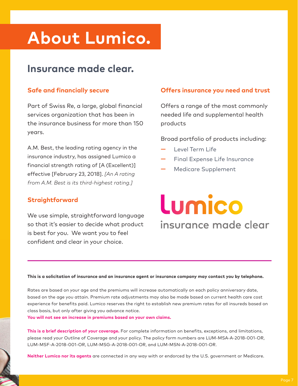## **About Lumico.**

### **Insurance made clear.**

#### **Safe and financially secure**

Part of Swiss Re, a large, global financial services organization that has been in the insurance business for more than 150 years.

A.M. Best, the leading rating agency in the insurance industry, has assigned Lumico a financial strength rating of [A (Excellent)] effective [February 23, 2018]. *[An A rating from A.M. Best is its third-highest rating.]*

#### **Straightforward**

We use simple, straightforward language so that it's easier to decide what product is best for you. We want you to feel confident and clear in your choice.

#### **Offers insurance you need and trust**

Offers a range of the most commonly needed life and supplemental health products

Broad portfolio of products including:

- **—** Level Term Life
- **—** Final Expense Life Insurance
- **—** Medicare Supplement

# Lumico insurance made clear

#### **This is a solicitation of insurance and an insurance agent or insurance company may contact you by telephone.**

Rates are based on your age and the premiums will increase automatically on each policy anniversary date, based on the age you attain. Premium rate adjustments may also be made based on current health care cost experience for benefits paid. Lumico reserves the right to establish new premium rates for all insureds based on class basis, but only after giving you advance notice.

**You will not see an increase in premiums based on your own claims.**

**This is a brief description of your coverage.** For complete information on benefits, exceptions, and limitations, please read your Outline of Coverage and your policy. The policy form numbers are LUM-MSA-A-2018-001-OR, LUM-MSF-A-2018-001-OR, LUM-MSG-A-2018-001-OR, and LUM-MSN-A-2018-001-OR.

**Neither Lumico nor its agents** are connected in any way with or endorced by the U.S. government or Medicare.